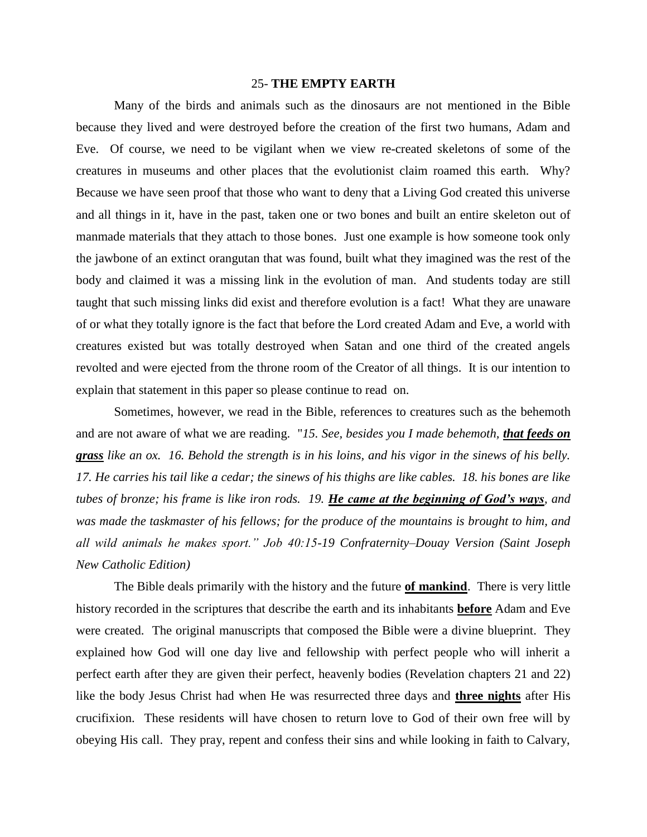## 25- **THE EMPTY EARTH**

Many of the birds and animals such as the dinosaurs are not mentioned in the Bible because they lived and were destroyed before the creation of the first two humans, Adam and Eve. Of course, we need to be vigilant when we view re-created skeletons of some of the creatures in museums and other places that the evolutionist claim roamed this earth. Why? Because we have seen proof that those who want to deny that a Living God created this universe and all things in it, have in the past, taken one or two bones and built an entire skeleton out of manmade materials that they attach to those bones. Just one example is how someone took only the jawbone of an extinct orangutan that was found, built what they imagined was the rest of the body and claimed it was a missing link in the evolution of man. And students today are still taught that such missing links did exist and therefore evolution is a fact! What they are unaware of or what they totally ignore is the fact that before the Lord created Adam and Eve, a world with creatures existed but was totally destroyed when Satan and one third of the created angels revolted and were ejected from the throne room of the Creator of all things. It is our intention to explain that statement in this paper so please continue to read on.

Sometimes, however, we read in the Bible, references to creatures such as the behemoth and are not aware of what we are reading. "*15. See, besides you I made behemoth, that feeds on grass like an ox. 16. Behold the strength is in his loins, and his vigor in the sinews of his belly. 17. He carries his tail like a cedar; the sinews of his thighs are like cables. 18. his bones are like tubes of bronze; his frame is like iron rods. 19. He came at the beginning of God's ways, and was made the taskmaster of his fellows; for the produce of the mountains is brought to him, and all wild animals he makes sport." Job 40:15-19 Confraternity–Douay Version (Saint Joseph New Catholic Edition)*

The Bible deals primarily with the history and the future **of mankind**. There is very little history recorded in the scriptures that describe the earth and its inhabitants **before** Adam and Eve were created. The original manuscripts that composed the Bible were a divine blueprint. They explained how God will one day live and fellowship with perfect people who will inherit a perfect earth after they are given their perfect, heavenly bodies (Revelation chapters 21 and 22) like the body Jesus Christ had when He was resurrected three days and **three nights** after His crucifixion. These residents will have chosen to return love to God of their own free will by obeying His call. They pray, repent and confess their sins and while looking in faith to Calvary,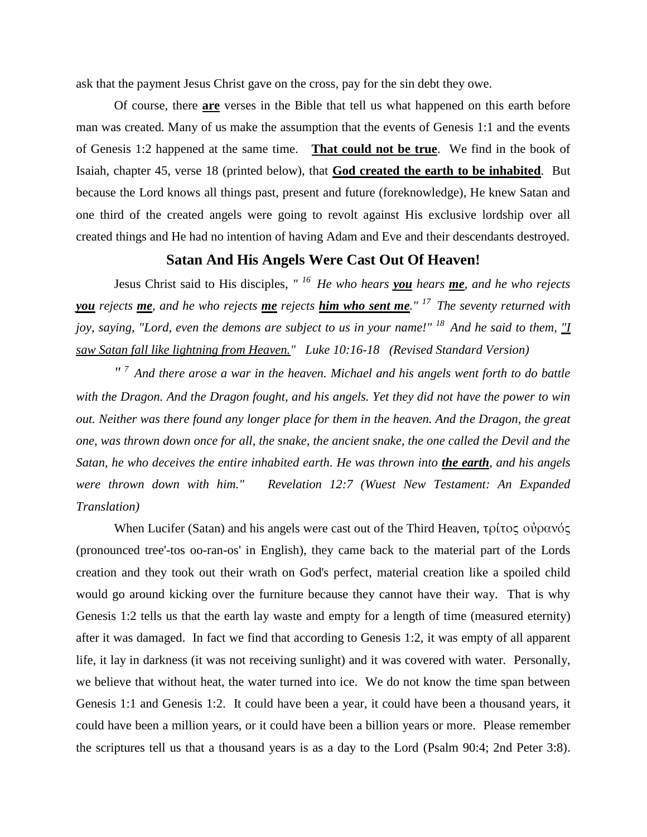ask that the payment Jesus Christ gave on the cross, pay for the sin debt they owe.

Of course, there **are** verses in the Bible that tell us what happened on this earth before man was created. Many of us make the assumption that the events of Genesis 1:1 and the events of Genesis 1:2 happened at the same time. **That could not be true**. We find in the book of Isaiah, chapter 45, verse 18 (printed below), that **God created the earth to be inhabited**. But because the Lord knows all things past, present and future (foreknowledge), He knew Satan and one third of the created angels were going to revolt against His exclusive lordship over all created things and He had no intention of having Adam and Eve and their descendants destroyed.

## **Satan And His Angels Were Cast Out Of Heaven!**

Jesus Christ said to His disciples*, " <sup>16</sup>He who hears you hears me, and he who rejects you rejects me, and he who rejects me rejects him who sent me." <sup>17</sup>The seventy returned with joy, saying, "Lord, even the demons are subject to us in your name!" <sup>18</sup>And he said to them, "I saw Satan fall like lightning from Heaven." Luke 10:16-18 (Revised Standard Version)*

*" <sup>7</sup>And there arose a war in the heaven. Michael and his angels went forth to do battle with the Dragon. And the Dragon fought, and his angels. Yet they did not have the power to win out. Neither was there found any longer place for them in the heaven. And the Dragon, the great one, was thrown down once for all, the snake, the ancient snake, the one called the Devil and the Satan, he who deceives the entire inhabited earth. He was thrown into the earth, and his angels were thrown down with him." Revelation 12:7 (Wuest New Testament: An Expanded Translation)*

When Lucifer (Satan) and his angels were cast out of the Third Heaven, τρίτος οὐρανός (pronounced tree'-tos oo-ran-os' in English), they came back to the material part of the Lords creation and they took out their wrath on God's perfect, material creation like a spoiled child would go around kicking over the furniture because they cannot have their way. That is why Genesis 1:2 tells us that the earth lay waste and empty for a length of time (measured eternity) after it was damaged. In fact we find that according to Genesis 1:2, it was empty of all apparent life, it lay in darkness (it was not receiving sunlight) and it was covered with water. Personally, we believe that without heat, the water turned into ice. We do not know the time span between Genesis 1:1 and Genesis 1:2. It could have been a year, it could have been a thousand years, it could have been a million years, or it could have been a billion years or more. Please remember the scriptures tell us that a thousand years is as a day to the Lord (Psalm 90:4; 2nd Peter 3:8).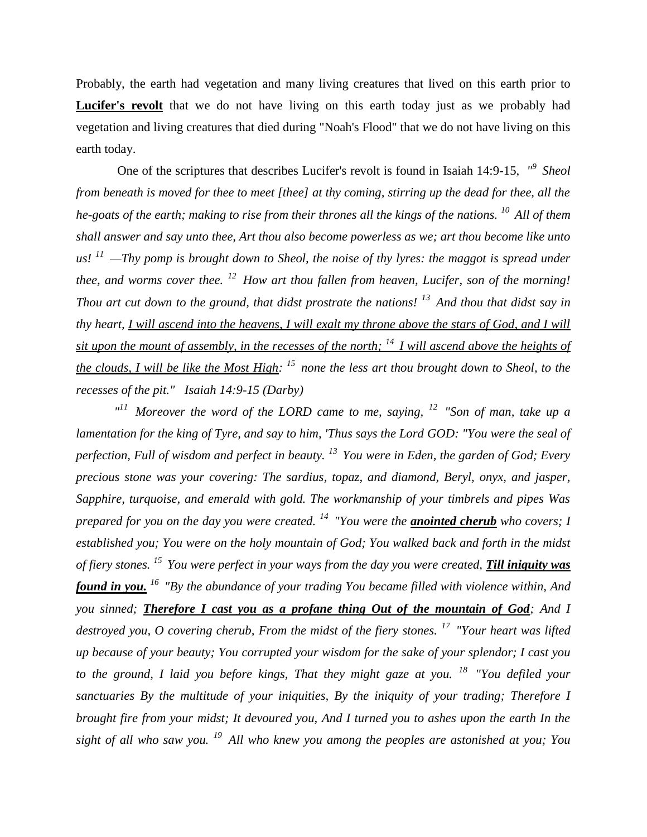Probably, the earth had vegetation and many living creatures that lived on this earth prior to Lucifer's revolt that we do not have living on this earth today just as we probably had vegetation and living creatures that died during "Noah's Flood" that we do not have living on this earth today.

One of the scriptures that describes Lucifer's revolt is found in Isaiah 14:9-15,  $\frac{1}{9}$  Sheol *from beneath is moved for thee to meet [thee] at thy coming, stirring up the dead for thee, all the he-goats of the earth; making to rise from their thrones all the kings of the nations. <sup>10</sup>All of them shall answer and say unto thee, Art thou also become powerless as we; art thou become like unto us! <sup>11</sup>—Thy pomp is brought down to Sheol, the noise of thy lyres: the maggot is spread under thee, and worms cover thee. <sup>12</sup>How art thou fallen from heaven, Lucifer, son of the morning! Thou art cut down to the ground, that didst prostrate the nations! <sup>13</sup>And thou that didst say in thy heart, I will ascend into the heavens, I will exalt my throne above the stars of God, and I will sit upon the mount of assembly, in the recesses of the north; <sup>14</sup>I will ascend above the heights of the clouds, I will be like the Most High: <sup>15</sup>none the less art thou brought down to Sheol, to the recesses of the pit." Isaiah 14:9-15 (Darby)* 

*" <sup>11</sup>Moreover the word of the LORD came to me, saying, <sup>12</sup>"Son of man, take up a lamentation for the king of Tyre, and say to him, 'Thus says the Lord GOD: "You were the seal of perfection, Full of wisdom and perfect in beauty. <sup>13</sup>You were in Eden, the garden of God; Every precious stone was your covering: The sardius, topaz, and diamond, Beryl, onyx, and jasper, Sapphire, turquoise, and emerald with gold. The workmanship of your timbrels and pipes Was prepared for you on the day you were created. <sup>14</sup>"You were the anointed cherub who covers; I established you; You were on the holy mountain of God; You walked back and forth in the midst of fiery stones. <sup>15</sup>You were perfect in your ways from the day you were created, Till iniquity was found in you. <sup>16</sup>"By the abundance of your trading You became filled with violence within, And you sinned; Therefore I cast you as a profane thing Out of the mountain of God; And I destroyed you, O covering cherub, From the midst of the fiery stones. <sup>17</sup>"Your heart was lifted up because of your beauty; You corrupted your wisdom for the sake of your splendor; I cast you to the ground, I laid you before kings, That they might gaze at you. <sup>18</sup>"You defiled your sanctuaries By the multitude of your iniquities, By the iniquity of your trading; Therefore I brought fire from your midst; It devoured you, And I turned you to ashes upon the earth In the sight of all who saw you. <sup>19</sup>All who knew you among the peoples are astonished at you; You*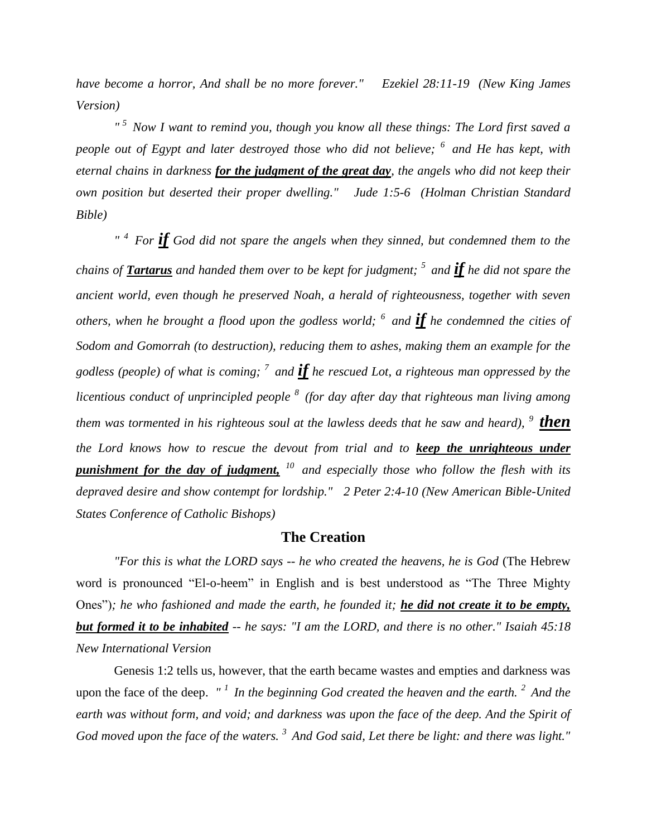*have become a horror, And shall be no more forever." Ezekiel 28:11-19 (New King James Version)* 

*" <sup>5</sup>Now I want to remind you, though you know all these things: The Lord first saved a people out of Egypt and later destroyed those who did not believe; <sup>6</sup>and He has kept, with eternal chains in darkness for the judgment of the great day, the angels who did not keep their own position but deserted their proper dwelling." Jude 1:5-6 (Holman Christian Standard Bible)*

*" <sup>4</sup>For if God did not spare the angels when they sinned, but condemned them to the chains of Tartarus and handed them over to be kept for judgment; <sup>5</sup>and if he did not spare the ancient world, even though he preserved Noah, a herald of righteousness, together with seven others, when he brought a flood upon the godless world; <sup>6</sup>and if he condemned the cities of Sodom and Gomorrah (to destruction), reducing them to ashes, making them an example for the godless (people) of what is coming; <sup>7</sup>and if he rescued Lot, a righteous man oppressed by the licentious conduct of unprincipled people <sup>8</sup>(for day after day that righteous man living among them was tormented in his righteous soul at the lawless deeds that he saw and heard), <sup>9</sup> <i>then the Lord knows how to rescue the devout from trial and to keep the unrighteous under punishment for the day of judgment, <sup>10</sup>and especially those who follow the flesh with its depraved desire and show contempt for lordship." 2 Peter 2:4-10 (New American Bible-United States Conference of Catholic Bishops)* 

## **The Creation**

*"For this is what the LORD says -- he who created the heavens, he is God* (The Hebrew word is pronounced "El-o-heem" in English and is best understood as "The Three Mighty Ones")*; he who fashioned and made the earth, he founded it; he did not create it to be empty, but formed it to be inhabited -- he says: "I am the LORD, and there is no other." Isaiah 45:18 New International Version*

Genesis 1:2 tells us, however, that the earth became wastes and empties and darkness was upon the face of the deep. *" <sup>1</sup>In the beginning God created the heaven and the earth. <sup>2</sup>And the earth was without form, and void; and darkness was upon the face of the deep. And the Spirit of God moved upon the face of the waters. <sup>3</sup>And God said, Let there be light: and there was light."*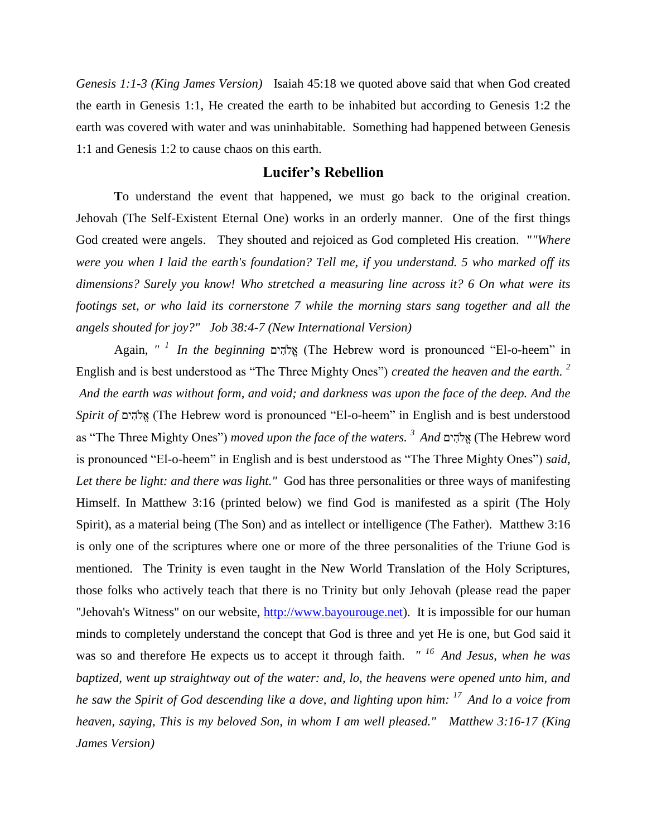*Genesis 1:1-3 (King James Version)* Isaiah 45:18 we quoted above said that when God created the earth in Genesis 1:1, He created the earth to be inhabited but according to Genesis 1:2 the earth was covered with water and was uninhabitable. Something had happened between Genesis 1:1 and Genesis 1:2 to cause chaos on this earth.

## **Lucifer's Rebellion**

**T**o understand the event that happened, we must go back to the original creation. Jehovah (The Self-Existent Eternal One) works in an orderly manner. One of the first things God created were angels. They shouted and rejoiced as God completed His creation. "*"Where were you when I laid the earth's foundation? Tell me, if you understand. 5 who marked off its dimensions? Surely you know! Who stretched a measuring line across it? 6 On what were its footings set, or who laid its cornerstone 7 while the morning stars sang together and all the angels shouted for joy?" Job 38:4-7 (New International Version)* 

Again, *" <sup>1</sup>In the beginning* (The Hebrew word is pronounced "El-o-heem" in English and is best understood as "The Three Mighty Ones") *created the heaven and the earth. <sup>2</sup> And the earth was without form, and void; and darkness was upon the face of the deep. And the Spirit of* (The Hebrew word is pronounced "El-o-heem" in English and is best understood as "The Three Mighty Ones") *moved upon the face of the waters. <sup>3</sup>And* (The Hebrew word is pronounced "El-o-heem" in English and is best understood as "The Three Mighty Ones") *said,*  Let there be light: and there was light." God has three personalities or three ways of manifesting Himself. In Matthew 3:16 (printed below) we find God is manifested as a spirit (The Holy Spirit), as a material being (The Son) and as intellect or intelligence (The Father). Matthew 3:16 is only one of the scriptures where one or more of the three personalities of the Triune God is mentioned. The Trinity is even taught in the New World Translation of the Holy Scriptures, those folks who actively teach that there is no Trinity but only Jehovah (please read the paper "Jehovah's Witness" on our website, [http://www.bayourouge.net\)](http://www.bayourouge.net/). It is impossible for our human minds to completely understand the concept that God is three and yet He is one, but God said it was so and therefore He expects us to accept it through faith. *" <sup>16</sup>And Jesus, when he was baptized, went up straightway out of the water: and, lo, the heavens were opened unto him, and he saw the Spirit of God descending like a dove, and lighting upon him: <sup>17</sup>And lo a voice from heaven, saying, This is my beloved Son, in whom I am well pleased." Matthew 3:16-17 (King James Version)*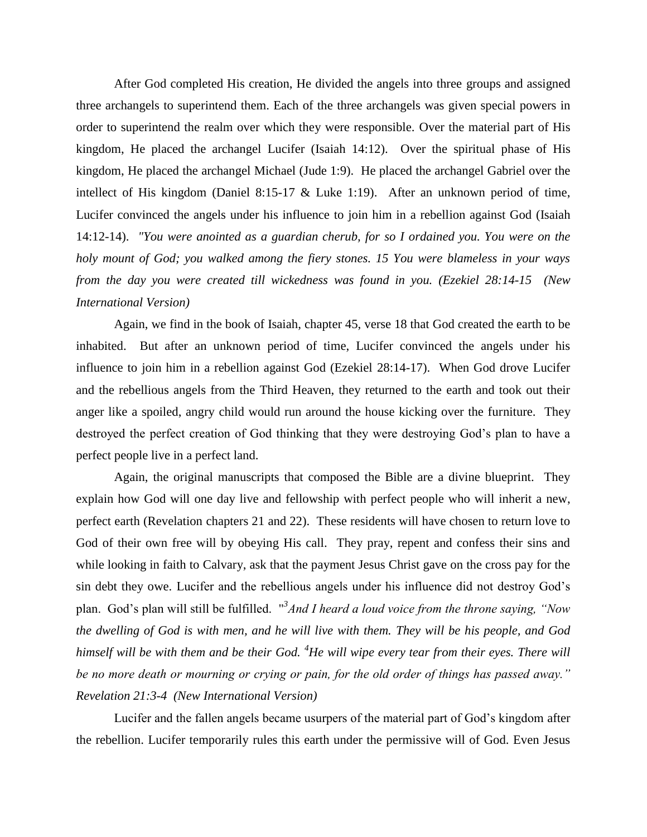After God completed His creation, He divided the angels into three groups and assigned three archangels to superintend them. Each of the three archangels was given special powers in order to superintend the realm over which they were responsible. Over the material part of His kingdom, He placed the archangel Lucifer (Isaiah 14:12). Over the spiritual phase of His kingdom, He placed the archangel Michael (Jude 1:9). He placed the archangel Gabriel over the intellect of His kingdom (Daniel 8:15-17 & Luke 1:19). After an unknown period of time, Lucifer convinced the angels under his influence to join him in a rebellion against God (Isaiah 14:12-14). *"You were anointed as a guardian cherub, for so I ordained you. You were on the holy mount of God; you walked among the fiery stones. 15 You were blameless in your ways from the day you were created till wickedness was found in you. (Ezekiel 28:14-15 (New International Version)* 

Again, we find in the book of Isaiah, chapter 45, verse 18 that God created the earth to be inhabited. But after an unknown period of time, Lucifer convinced the angels under his influence to join him in a rebellion against God (Ezekiel 28:14-17). When God drove Lucifer and the rebellious angels from the Third Heaven, they returned to the earth and took out their anger like a spoiled, angry child would run around the house kicking over the furniture. They destroyed the perfect creation of God thinking that they were destroying God's plan to have a perfect people live in a perfect land.

Again, the original manuscripts that composed the Bible are a divine blueprint. They explain how God will one day live and fellowship with perfect people who will inherit a new, perfect earth (Revelation chapters 21 and 22). These residents will have chosen to return love to God of their own free will by obeying His call. They pray, repent and confess their sins and while looking in faith to Calvary, ask that the payment Jesus Christ gave on the cross pay for the sin debt they owe. Lucifer and the rebellious angels under his influence did not destroy God's plan. God's plan will still be fulfilled. " *3 And I heard a loud voice from the throne saying, "Now the dwelling of God is with men, and he will live with them. They will be his people, and God himself will be with them and be their God. <sup>4</sup>He will wipe every tear from their eyes. There will be no more death or mourning or crying or pain, for the old order of things has passed away." Revelation 21:3-4 (New International Version)* 

Lucifer and the fallen angels became usurpers of the material part of God's kingdom after the rebellion. Lucifer temporarily rules this earth under the permissive will of God. Even Jesus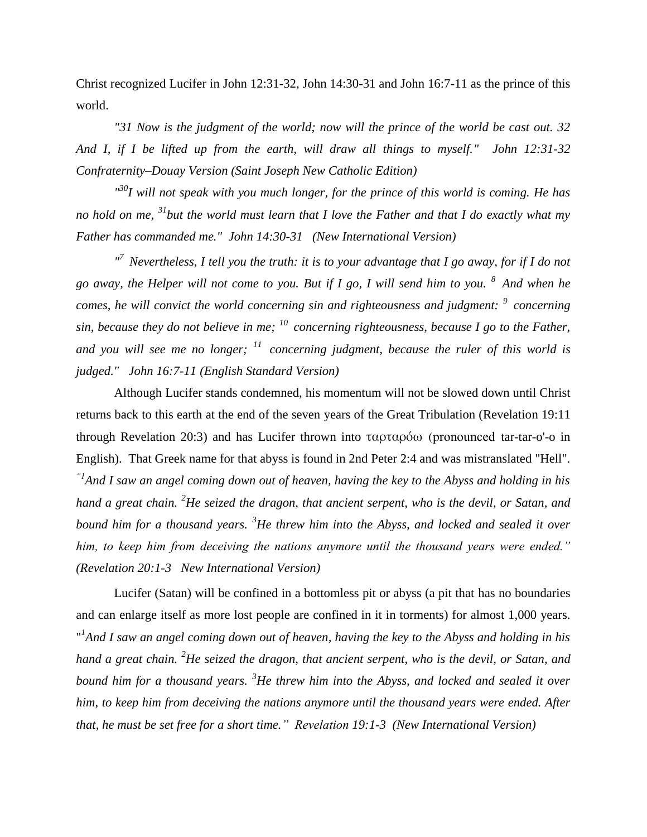Christ recognized Lucifer in John 12:31-32, John 14:30-31 and John 16:7-11 as the prince of this world.

*"31 Now is the judgment of the world; now will the prince of the world be cast out. 32 And I, if I be lifted up from the earth, will draw all things to myself." John 12:31-32 Confraternity–Douay Version (Saint Joseph New Catholic Edition)*

*" <sup>30</sup>I will not speak with you much longer, for the prince of this world is coming. He has no hold on me, <sup>31</sup>but the world must learn that I love the Father and that I do exactly what my Father has commanded me." John 14:30-31 (New International Version)*

*" <sup>7</sup>Nevertheless, I tell you the truth: it is to your advantage that I go away, for if I do not go away, the Helper will not come to you. But if I go, I will send him to you. <sup>8</sup>And when he comes, he will convict the world concerning sin and righteousness and judgment: <sup>9</sup>concerning sin, because they do not believe in me; <sup>10</sup>concerning righteousness, because I go to the Father, and you will see me no longer; <sup>11</sup>concerning judgment, because the ruler of this world is judged." John 16:7-11 (English Standard Version)*

Although Lucifer stands condemned, his momentum will not be slowed down until Christ returns back to this earth at the end of the seven years of the Great Tribulation (Revelation 19:11 through Revelation 20:3) and has Lucifer thrown into ταρταρόω (pronounced tar-tar-o'-o in English). That Greek name for that abyss is found in 2nd Peter 2:4 and was mistranslated "Hell". *"1And I saw an angel coming down out of heaven, having the key to the Abyss and holding in his hand a great chain. <sup>2</sup>He seized the dragon, that ancient serpent, who is the devil, or Satan, and bound him for a thousand years. <sup>3</sup>He threw him into the Abyss, and locked and sealed it over him, to keep him from deceiving the nations anymore until the thousand years were ended." (Revelation 20:1-3 New International Version)*

Lucifer (Satan) will be confined in a bottomless pit or abyss (a pit that has no boundaries and can enlarge itself as more lost people are confined in it in torments) for almost 1,000 years. "<sup>1</sup> And I saw an angel coming down out of heaven, having the key to the Abyss and holding in his *hand a great chain. <sup>2</sup>He seized the dragon, that ancient serpent, who is the devil, or Satan, and bound him for a thousand years. <sup>3</sup>He threw him into the Abyss, and locked and sealed it over him, to keep him from deceiving the nations anymore until the thousand years were ended. After that, he must be set free for a short time." Revelation 19:1-3 (New International Version)*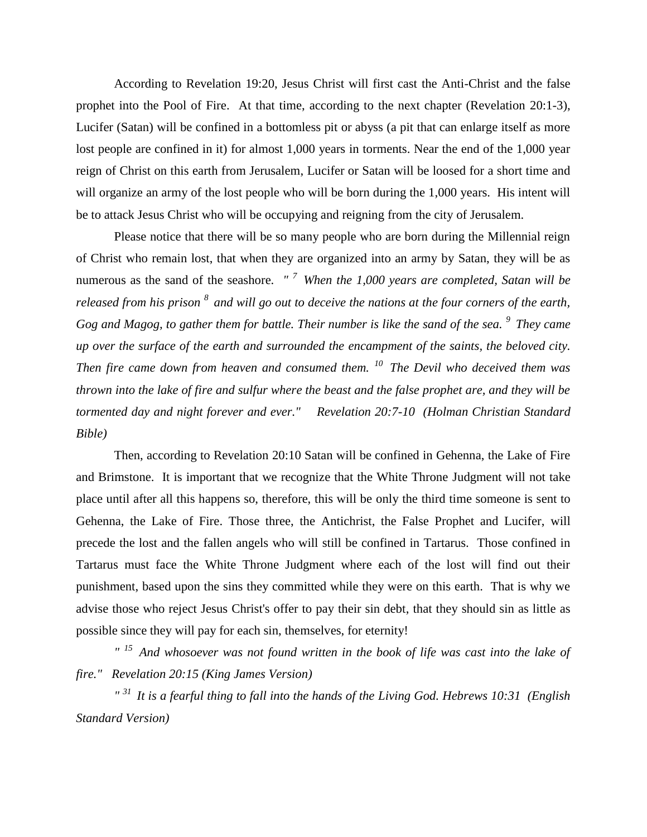According to Revelation 19:20, Jesus Christ will first cast the Anti-Christ and the false prophet into the Pool of Fire. At that time, according to the next chapter (Revelation 20:1-3), Lucifer (Satan) will be confined in a bottomless pit or abyss (a pit that can enlarge itself as more lost people are confined in it) for almost 1,000 years in torments. Near the end of the 1,000 year reign of Christ on this earth from Jerusalem, Lucifer or Satan will be loosed for a short time and will organize an army of the lost people who will be born during the 1,000 years. His intent will be to attack Jesus Christ who will be occupying and reigning from the city of Jerusalem.

Please notice that there will be so many people who are born during the Millennial reign of Christ who remain lost, that when they are organized into an army by Satan, they will be as numerous as the sand of the seashore. *" <sup>7</sup>When the 1,000 years are completed, Satan will be released from his prison <sup>8</sup>and will go out to deceive the nations at the four corners of the earth, Gog and Magog, to gather them for battle. Their number is like the sand of the sea. <sup>9</sup>They came up over the surface of the earth and surrounded the encampment of the saints, the beloved city. Then fire came down from heaven and consumed them. <sup>10</sup>The Devil who deceived them was thrown into the lake of fire and sulfur where the beast and the false prophet are, and they will be tormented day and night forever and ever." Revelation 20:7-10 (Holman Christian Standard Bible)*

Then, according to Revelation 20:10 Satan will be confined in Gehenna, the Lake of Fire and Brimstone. It is important that we recognize that the White Throne Judgment will not take place until after all this happens so, therefore, this will be only the third time someone is sent to Gehenna, the Lake of Fire. Those three, the Antichrist, the False Prophet and Lucifer, will precede the lost and the fallen angels who will still be confined in Tartarus. Those confined in Tartarus must face the White Throne Judgment where each of the lost will find out their punishment, based upon the sins they committed while they were on this earth. That is why we advise those who reject Jesus Christ's offer to pay their sin debt, that they should sin as little as possible since they will pay for each sin, themselves, for eternity!

*" <sup>15</sup>And whosoever was not found written in the book of life was cast into the lake of fire." Revelation 20:15 (King James Version)* 

*" <sup>31</sup>It is a fearful thing to fall into the hands of the Living God. Hebrews 10:31 (English Standard Version)*